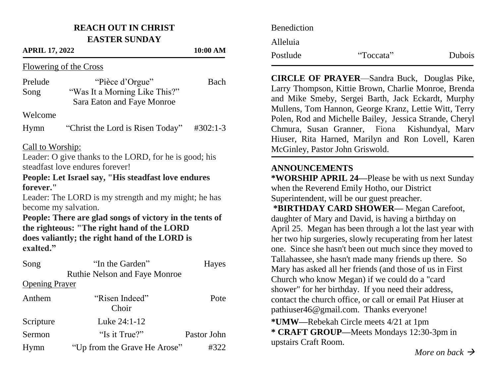### **REACH OUT IN CHRIST EASTER SUNDAY**

#### **APRIL 17, 2022 10:00 AM**

Flowering of the Cross

| Prelude          | "Pièce d'Orgue"                  | Bach               |
|------------------|----------------------------------|--------------------|
| Song             | "Was It a Morning Like This?"    |                    |
|                  | Sara Eaton and Faye Monroe       |                    |
| Welcome          |                                  |                    |
| Hymn             | "Christ the Lord is Risen Today" | $\text{\#}302:1-3$ |
| Call to Worship: |                                  |                    |

Leader: O give thanks to the LORD, for he is good; his steadfast love endures forever!

### **People: Let Israel say, "His steadfast love endures forever."**

Leader: The LORD is my strength and my might; he has become my salvation.

**People: There are glad songs of victory in the tents of the righteous: "The right hand of the LORD does valiantly; the right hand of the LORD is exalted."**

| Song                  | "In the Garden"                      | Hayes       |
|-----------------------|--------------------------------------|-------------|
|                       | <b>Ruthie Nelson and Faye Monroe</b> |             |
| <b>Opening Prayer</b> |                                      |             |
| Anthem                | "Risen Indeed"                       | Pote        |
|                       | Choir                                |             |
| Scripture             | Luke 24:1-12                         |             |
| Sermon                | "Is it True?"                        | Pastor John |
| Hymn                  | "Up from the Grave He Arose"         | #322        |

| <b>Benediction</b> |           |        |
|--------------------|-----------|--------|
| Alleluia           |           |        |
| Postlude           | "Toccata" | Dubois |

**CIRCLE OF PRAYER**—Sandra Buck, Douglas Pike, Larry Thompson, Kittie Brown, Charlie Monroe, Brenda and Mike Smeby, Sergei Barth, Jack Eckardt, Murphy Mullens, Tom Hannon, George Kranz, Lettie Witt, Terry Polen, Rod and Michelle Bailey, Jessica Strande, Cheryl Chmura, Susan Granner, Fiona Kishundyal, Marv Hiuser, Rita Harned, Marilyn and Ron Lovell, Karen McGinley, Pastor John Griswold.

### **ANNOUNCEMENTS**

**\*WORSHIP APRIL 24—**Please be with us next Sunday when the Reverend Emily Hotho, our District Superintendent, will be our guest preacher.

**\*BIRTHDAY CARD SHOWER—** Megan Carefoot, daughter of Mary and David, is having a birthday on April 25. Megan has been through a lot the last year with her two hip surgeries, slowly recuperating from her latest one. Since she hasn't been out much since they moved to Tallahassee, she hasn't made many friends up there. So Mary has asked all her friends (and those of us in First Church who know Megan) if we could do a "card shower" for her birthday. If you need their address, contact the church office, or call or email Pat Hiuser at pathiuser46@gmail.com. Thanks everyone! **\*UMW—**Rebekah Circle meets 4/21 at 1pm

**\* CRAFT GROUP—**Meets Mondays 12:30-3pm in upstairs Craft Room.

*More on back*  $\rightarrow$